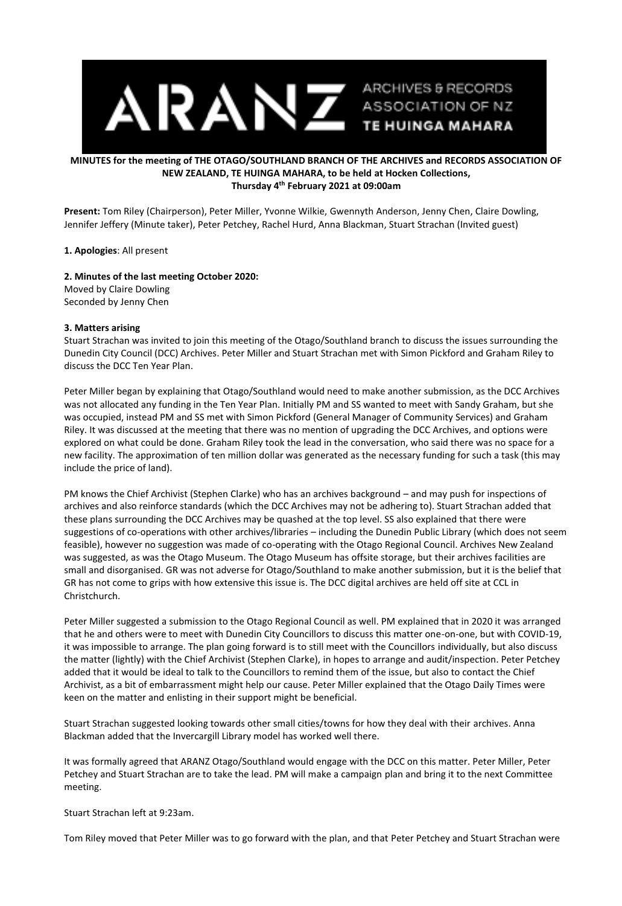

# **MINUTES for the meeting of THE OTAGO/SOUTHLAND BRANCH OF THE ARCHIVES and RECORDS ASSOCIATION OF NEW ZEALAND, TE HUINGA MAHARA, to be held at Hocken Collections, Thursday 4 th February 2021 at 09:00am**

**Present:** Tom Riley (Chairperson), Peter Miller, Yvonne Wilkie, Gwennyth Anderson, Jenny Chen, Claire Dowling, Jennifer Jeffery (Minute taker), Peter Petchey, Rachel Hurd, Anna Blackman, Stuart Strachan (Invited guest)

#### **1. Apologies**: All present

## **2. Minutes of the last meeting October 2020:**

Moved by Claire Dowling Seconded by Jenny Chen

#### **3. Matters arising**

Stuart Strachan was invited to join this meeting of the Otago/Southland branch to discuss the issues surrounding the Dunedin City Council (DCC) Archives. Peter Miller and Stuart Strachan met with Simon Pickford and Graham Riley to discuss the DCC Ten Year Plan.

Peter Miller began by explaining that Otago/Southland would need to make another submission, as the DCC Archives was not allocated any funding in the Ten Year Plan. Initially PM and SS wanted to meet with Sandy Graham, but she was occupied, instead PM and SS met with Simon Pickford (General Manager of Community Services) and Graham Riley. It was discussed at the meeting that there was no mention of upgrading the DCC Archives, and options were explored on what could be done. Graham Riley took the lead in the conversation, who said there was no space for a new facility. The approximation of ten million dollar was generated as the necessary funding for such a task (this may include the price of land).

PM knows the Chief Archivist (Stephen Clarke) who has an archives background – and may push for inspections of archives and also reinforce standards (which the DCC Archives may not be adhering to). Stuart Strachan added that these plans surrounding the DCC Archives may be quashed at the top level. SS also explained that there were suggestions of co-operations with other archives/libraries – including the Dunedin Public Library (which does not seem feasible), however no suggestion was made of co-operating with the Otago Regional Council. Archives New Zealand was suggested, as was the Otago Museum. The Otago Museum has offsite storage, but their archives facilities are small and disorganised. GR was not adverse for Otago/Southland to make another submission, but it is the belief that GR has not come to grips with how extensive this issue is. The DCC digital archives are held off site at CCL in Christchurch.

Peter Miller suggested a submission to the Otago Regional Council as well. PM explained that in 2020 it was arranged that he and others were to meet with Dunedin City Councillors to discuss this matter one-on-one, but with COVID-19, it was impossible to arrange. The plan going forward is to still meet with the Councillors individually, but also discuss the matter (lightly) with the Chief Archivist (Stephen Clarke), in hopes to arrange and audit/inspection. Peter Petchey added that it would be ideal to talk to the Councillors to remind them of the issue, but also to contact the Chief Archivist, as a bit of embarrassment might help our cause. Peter Miller explained that the Otago Daily Times were keen on the matter and enlisting in their support might be beneficial.

Stuart Strachan suggested looking towards other small cities/towns for how they deal with their archives. Anna Blackman added that the Invercargill Library model has worked well there.

It was formally agreed that ARANZ Otago/Southland would engage with the DCC on this matter. Peter Miller, Peter Petchey and Stuart Strachan are to take the lead. PM will make a campaign plan and bring it to the next Committee meeting.

Stuart Strachan left at 9:23am.

Tom Riley moved that Peter Miller was to go forward with the plan, and that Peter Petchey and Stuart Strachan were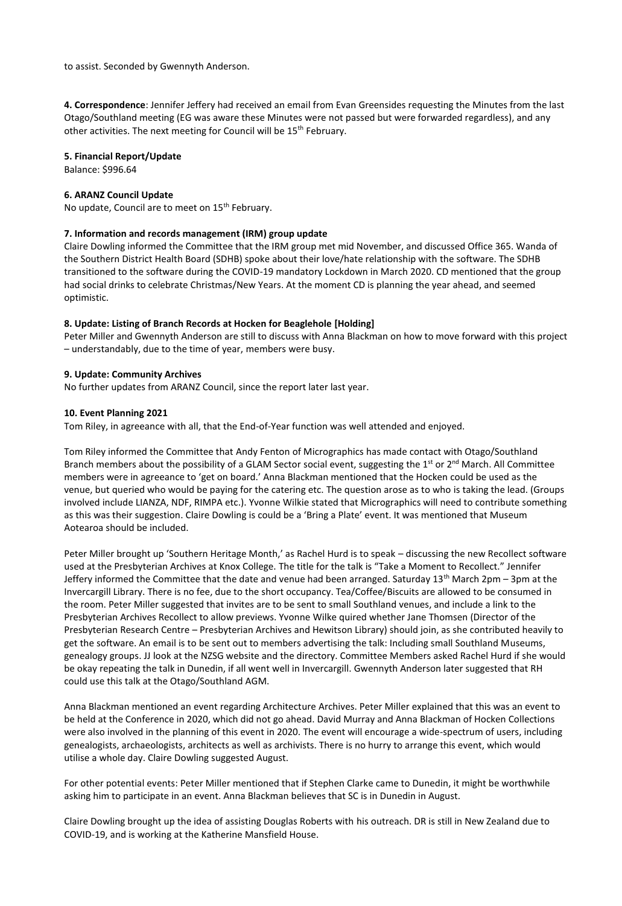to assist. Seconded by Gwennyth Anderson.

**4. Correspondence**: Jennifer Jeffery had received an email from Evan Greensides requesting the Minutes from the last Otago/Southland meeting (EG was aware these Minutes were not passed but were forwarded regardless), and any other activities. The next meeting for Council will be 15<sup>th</sup> February.

## **5. Financial Report/Update**

Balance: \$996.64

## **6. ARANZ Council Update**

No update, Council are to meet on 15<sup>th</sup> February.

## **7. Information and records management (IRM) group update**

Claire Dowling informed the Committee that the IRM group met mid November, and discussed Office 365. Wanda of the Southern District Health Board (SDHB) spoke about their love/hate relationship with the software. The SDHB transitioned to the software during the COVID-19 mandatory Lockdown in March 2020. CD mentioned that the group had social drinks to celebrate Christmas/New Years. At the moment CD is planning the year ahead, and seemed optimistic.

## **8. Update: Listing of Branch Records at Hocken for Beaglehole [Holding]**

Peter Miller and Gwennyth Anderson are still to discuss with Anna Blackman on how to move forward with this project – understandably, due to the time of year, members were busy.

## **9. Update: Community Archives**

No further updates from ARANZ Council, since the report later last year.

## **10. Event Planning 2021**

Tom Riley, in agreeance with all, that the End-of-Year function was well attended and enjoyed.

Tom Riley informed the Committee that Andy Fenton of Micrographics has made contact with Otago/Southland Branch members about the possibility of a GLAM Sector social event, suggesting the 1<sup>st</sup> or 2<sup>nd</sup> March. All Committee members were in agreeance to 'get on board.' Anna Blackman mentioned that the Hocken could be used as the venue, but queried who would be paying for the catering etc. The question arose as to who is taking the lead. (Groups involved include LIANZA, NDF, RIMPA etc.). Yvonne Wilkie stated that Micrographics will need to contribute something as this was their suggestion. Claire Dowling is could be a 'Bring a Plate' event. It was mentioned that Museum Aotearoa should be included.

Peter Miller brought up 'Southern Heritage Month,' as Rachel Hurd is to speak – discussing the new Recollect software used at the Presbyterian Archives at Knox College. The title for the talk is "Take a Moment to Recollect." Jennifer Jeffery informed the Committee that the date and venue had been arranged. Saturday 13<sup>th</sup> March 2pm – 3pm at the Invercargill Library. There is no fee, due to the short occupancy. Tea/Coffee/Biscuits are allowed to be consumed in the room. Peter Miller suggested that invites are to be sent to small Southland venues, and include a link to the Presbyterian Archives Recollect to allow previews. Yvonne Wilke quired whether Jane Thomsen (Director of the Presbyterian Research Centre – Presbyterian Archives and Hewitson Library) should join, as she contributed heavily to get the software. An email is to be sent out to members advertising the talk: Including small Southland Museums, genealogy groups. JJ look at the NZSG website and the directory. Committee Members asked Rachel Hurd if she would be okay repeating the talk in Dunedin, if all went well in Invercargill. Gwennyth Anderson later suggested that RH could use this talk at the Otago/Southland AGM.

Anna Blackman mentioned an event regarding Architecture Archives. Peter Miller explained that this was an event to be held at the Conference in 2020, which did not go ahead. David Murray and Anna Blackman of Hocken Collections were also involved in the planning of this event in 2020. The event will encourage a wide-spectrum of users, including genealogists, archaeologists, architects as well as archivists. There is no hurry to arrange this event, which would utilise a whole day. Claire Dowling suggested August.

For other potential events: Peter Miller mentioned that if Stephen Clarke came to Dunedin, it might be worthwhile asking him to participate in an event. Anna Blackman believes that SC is in Dunedin in August.

Claire Dowling brought up the idea of assisting Douglas Roberts with his outreach. DR is still in New Zealand due to COVID-19, and is working at the Katherine Mansfield House.